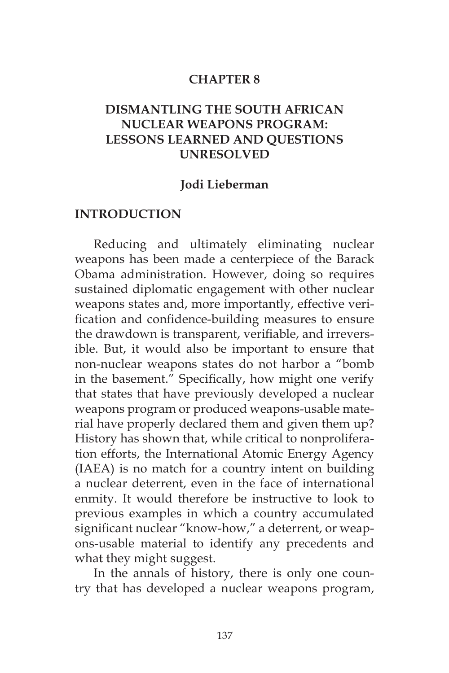#### **CHAPTER 8**

## **DISMANTLING THE SOUTH AFRICAN NUCLEAR WEAPONS PROGRAM: LESSONS LEARNED AND QUESTIONS UNRESOLVED**

#### **Jodi Lieberman**

#### **INTRODUCTION**

Reducing and ultimately eliminating nuclear weapons has been made a centerpiece of the Barack Obama administration. However, doing so requires sustained diplomatic engagement with other nuclear weapons states and, more importantly, effective verification and confidence-building measures to ensure the drawdown is transparent, verifiable, and irreversible. But, it would also be important to ensure that non-nuclear weapons states do not harbor a "bomb in the basement." Specifically, how might one verify that states that have previously developed a nuclear weapons program or produced weapons-usable material have properly declared them and given them up? History has shown that, while critical to nonproliferation efforts, the International Atomic Energy Agency (IAEA) is no match for a country intent on building a nuclear deterrent, even in the face of international enmity. It would therefore be instructive to look to previous examples in which a country accumulated significant nuclear "know-how," a deterrent, or weapons-usable material to identify any precedents and what they might suggest.

In the annals of history, there is only one country that has developed a nuclear weapons program,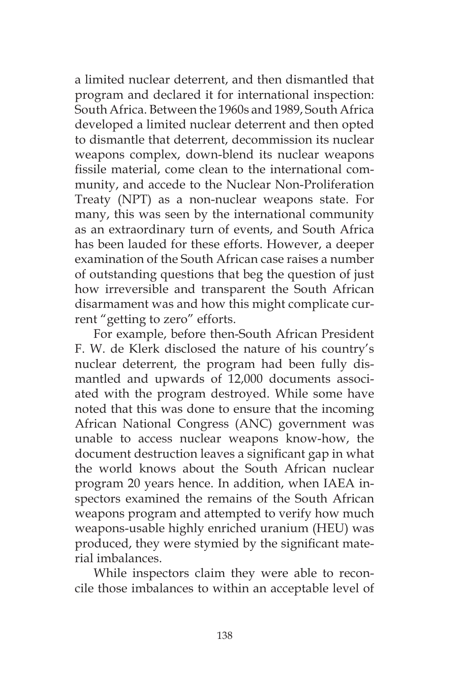a limited nuclear deterrent, and then dismantled that program and declared it for international inspection: South Africa. Between the 1960s and 1989, South Africa developed a limited nuclear deterrent and then opted to dismantle that deterrent, decommission its nuclear weapons complex, down-blend its nuclear weapons fissile material, come clean to the international community, and accede to the Nuclear Non-Proliferation Treaty (NPT) as a non-nuclear weapons state. For many, this was seen by the international community as an extraordinary turn of events, and South Africa has been lauded for these efforts. However, a deeper examination of the South African case raises a number of outstanding questions that beg the question of just how irreversible and transparent the South African disarmament was and how this might complicate current "getting to zero" efforts.

For example, before then-South African President F. W. de Klerk disclosed the nature of his country's nuclear deterrent, the program had been fully dismantled and upwards of 12,000 documents associated with the program destroyed. While some have noted that this was done to ensure that the incoming African National Congress (ANC) government was unable to access nuclear weapons know-how, the document destruction leaves a significant gap in what the world knows about the South African nuclear program 20 years hence. In addition, when IAEA inspectors examined the remains of the South African weapons program and attempted to verify how much weapons-usable highly enriched uranium (HEU) was produced, they were stymied by the significant material imbalances.

While inspectors claim they were able to reconcile those imbalances to within an acceptable level of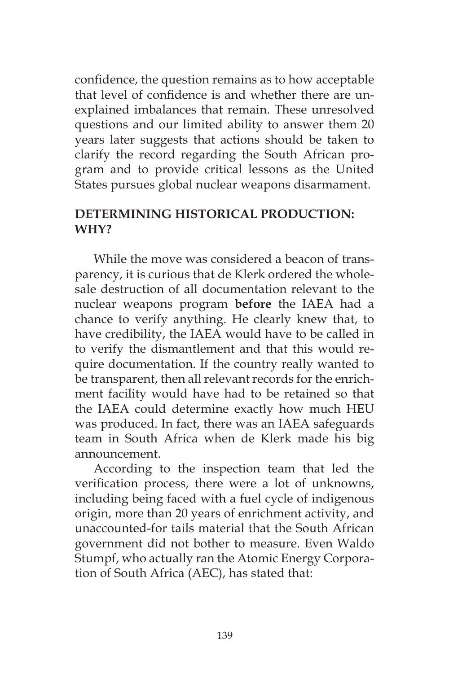confidence, the question remains as to how acceptable that level of confidence is and whether there are unexplained imbalances that remain. These unresolved questions and our limited ability to answer them 20 years later suggests that actions should be taken to clarify the record regarding the South African program and to provide critical lessons as the United States pursues global nuclear weapons disarmament.

# **DETERMINING HISTORICAL PRODUCTION: WHY?**

While the move was considered a beacon of transparency, it is curious that de Klerk ordered the wholesale destruction of all documentation relevant to the nuclear weapons program **before** the IAEA had a chance to verify anything. He clearly knew that, to have credibility, the IAEA would have to be called in to verify the dismantlement and that this would require documentation. If the country really wanted to be transparent, then all relevant records for the enrichment facility would have had to be retained so that the IAEA could determine exactly how much HEU was produced. In fact, there was an IAEA safeguards team in South Africa when de Klerk made his big announcement.

According to the inspection team that led the verification process, there were a lot of unknowns, including being faced with a fuel cycle of indigenous origin, more than 20 years of enrichment activity, and unaccounted-for tails material that the South African government did not bother to measure. Even Waldo Stumpf, who actually ran the Atomic Energy Corporation of South Africa (AEC), has stated that: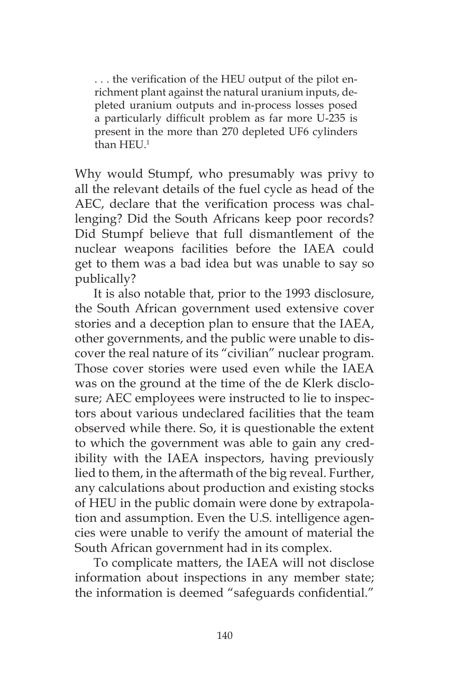. . . the verification of the HEU output of the pilot enrichment plant against the natural uranium inputs, depleted uranium outputs and in-process losses posed a particularly difficult problem as far more U-235 is present in the more than 270 depleted UF6 cylinders than HEU.<sup>1</sup>

Why would Stumpf, who presumably was privy to all the relevant details of the fuel cycle as head of the AEC, declare that the verification process was challenging? Did the South Africans keep poor records? Did Stumpf believe that full dismantlement of the nuclear weapons facilities before the IAEA could get to them was a bad idea but was unable to say so publically?

It is also notable that, prior to the 1993 disclosure, the South African government used extensive cover stories and a deception plan to ensure that the IAEA, other governments, and the public were unable to discover the real nature of its "civilian" nuclear program. Those cover stories were used even while the IAEA was on the ground at the time of the de Klerk disclosure; AEC employees were instructed to lie to inspectors about various undeclared facilities that the team observed while there. So, it is questionable the extent to which the government was able to gain any credibility with the IAEA inspectors, having previously lied to them, in the aftermath of the big reveal. Further, any calculations about production and existing stocks of HEU in the public domain were done by extrapolation and assumption. Even the U.S. intelligence agencies were unable to verify the amount of material the South African government had in its complex.

To complicate matters, the IAEA will not disclose information about inspections in any member state; the information is deemed "safeguards confidential."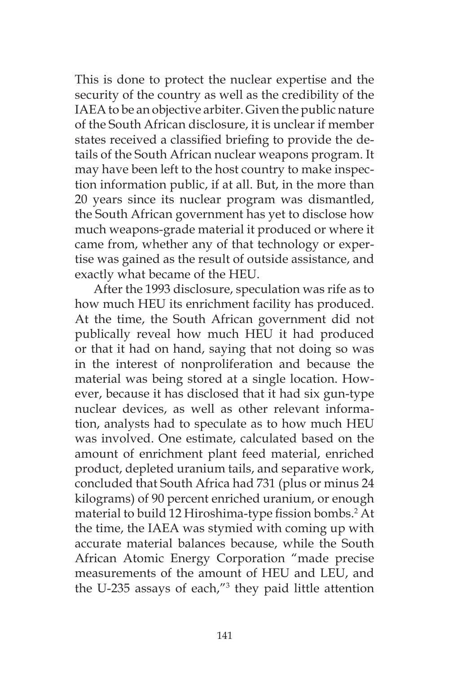This is done to protect the nuclear expertise and the security of the country as well as the credibility of the IAEA to be an objective arbiter. Given the public nature of the South African disclosure, it is unclear if member states received a classified briefing to provide the details of the South African nuclear weapons program. It may have been left to the host country to make inspection information public, if at all. But, in the more than 20 years since its nuclear program was dismantled, the South African government has yet to disclose how much weapons-grade material it produced or where it came from, whether any of that technology or expertise was gained as the result of outside assistance, and exactly what became of the HEU.

After the 1993 disclosure, speculation was rife as to how much HEU its enrichment facility has produced. At the time, the South African government did not publically reveal how much HEU it had produced or that it had on hand, saying that not doing so was in the interest of nonproliferation and because the material was being stored at a single location. However, because it has disclosed that it had six gun-type nuclear devices, as well as other relevant information, analysts had to speculate as to how much HEU was involved. One estimate, calculated based on the amount of enrichment plant feed material, enriched product, depleted uranium tails, and separative work, concluded that South Africa had 731 (plus or minus 24 kilograms) of 90 percent enriched uranium, or enough material to build 12 Hiroshima-type fission bombs.<sup>2</sup> At the time, the IAEA was stymied with coming up with accurate material balances because, while the South African Atomic Energy Corporation "made precise measurements of the amount of HEU and LEU, and the U-235 assays of each,"3 they paid little attention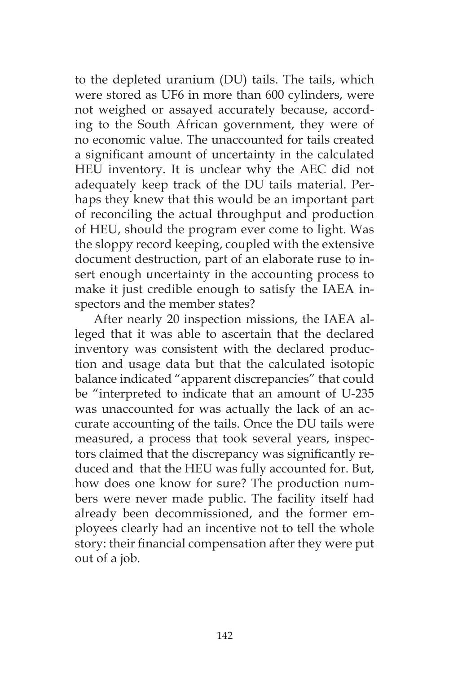to the depleted uranium (DU) tails. The tails, which were stored as UF6 in more than 600 cylinders, were not weighed or assayed accurately because, according to the South African government, they were of no economic value. The unaccounted for tails created a significant amount of uncertainty in the calculated HEU inventory. It is unclear why the AEC did not adequately keep track of the DU tails material. Perhaps they knew that this would be an important part of reconciling the actual throughput and production of HEU, should the program ever come to light. Was the sloppy record keeping, coupled with the extensive document destruction, part of an elaborate ruse to insert enough uncertainty in the accounting process to make it just credible enough to satisfy the IAEA inspectors and the member states?

After nearly 20 inspection missions, the IAEA alleged that it was able to ascertain that the declared inventory was consistent with the declared production and usage data but that the calculated isotopic balance indicated "apparent discrepancies" that could be "interpreted to indicate that an amount of U-235 was unaccounted for was actually the lack of an accurate accounting of the tails. Once the DU tails were measured, a process that took several years, inspectors claimed that the discrepancy was significantly reduced and that the HEU was fully accounted for. But, how does one know for sure? The production numbers were never made public. The facility itself had already been decommissioned, and the former employees clearly had an incentive not to tell the whole story: their financial compensation after they were put out of a job.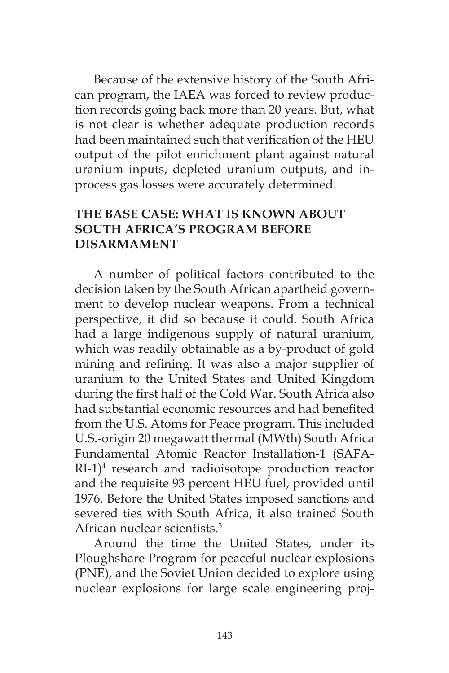Because of the extensive history of the South African program, the IAEA was forced to review production records going back more than 20 years. But, what is not clear is whether adequate production records had been maintained such that verification of the HEU output of the pilot enrichment plant against natural uranium inputs, depleted uranium outputs, and inprocess gas losses were accurately determined.

## **THE BASE CASE: WHAT IS KNOWN ABOUT SOUTH AFRICA'S PROGRAM BEFORE DISARMAMENT**

A number of political factors contributed to the decision taken by the South African apartheid government to develop nuclear weapons. From a technical perspective, it did so because it could. South Africa had a large indigenous supply of natural uranium, which was readily obtainable as a by-product of gold mining and refining. It was also a major supplier of uranium to the United States and United Kingdom during the first half of the Cold War. South Africa also had substantial economic resources and had benefited from the U.S. Atoms for Peace program. This included U.S.-origin 20 megawatt thermal (MWth) South Africa Fundamental Atomic Reactor Installation-1 (SAFA-RI-1)4 research and radioisotope production reactor and the requisite 93 percent HEU fuel, provided until 1976. Before the United States imposed sanctions and severed ties with South Africa, it also trained South African nuclear scientists.5

Around the time the United States, under its Ploughshare Program for peaceful nuclear explosions (PNE), and the Soviet Union decided to explore using nuclear explosions for large scale engineering proj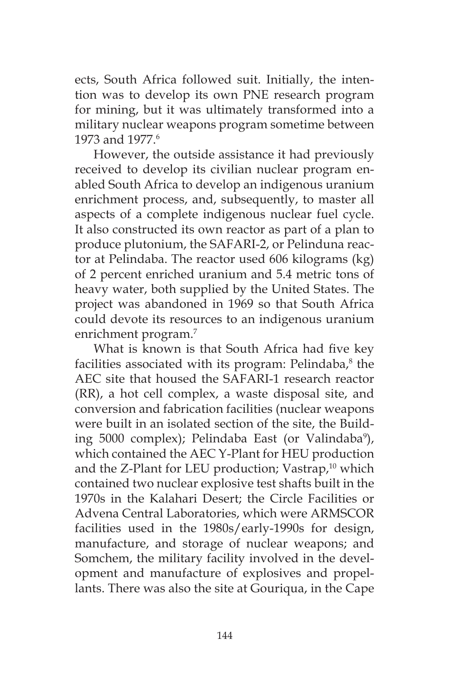ects, South Africa followed suit. Initially, the intention was to develop its own PNE research program for mining, but it was ultimately transformed into a military nuclear weapons program sometime between 1973 and 1977<sup>6</sup>

However, the outside assistance it had previously received to develop its civilian nuclear program enabled South Africa to develop an indigenous uranium enrichment process, and, subsequently, to master all aspects of a complete indigenous nuclear fuel cycle. It also constructed its own reactor as part of a plan to produce plutonium, the SAFARI-2, or Pelinduna reactor at Pelindaba. The reactor used 606 kilograms (kg) of 2 percent enriched uranium and 5.4 metric tons of heavy water, both supplied by the United States. The project was abandoned in 1969 so that South Africa could devote its resources to an indigenous uranium enrichment program.<sup>7</sup>

What is known is that South Africa had five key facilities associated with its program: Pelindaba,<sup>8</sup> the AEC site that housed the SAFARI-1 research reactor (RR), a hot cell complex, a waste disposal site, and conversion and fabrication facilities (nuclear weapons were built in an isolated section of the site, the Building 5000 complex); Pelindaba East (or Valindaba<sup>9</sup>), which contained the AEC Y-Plant for HEU production and the Z-Plant for LEU production; Vastrap,<sup>10</sup> which contained two nuclear explosive test shafts built in the 1970s in the Kalahari Desert; the Circle Facilities or Advena Central Laboratories, which were ARMSCOR facilities used in the 1980s/early-1990s for design, manufacture, and storage of nuclear weapons; and Somchem, the military facility involved in the development and manufacture of explosives and propellants. There was also the site at Gouriqua, in the Cape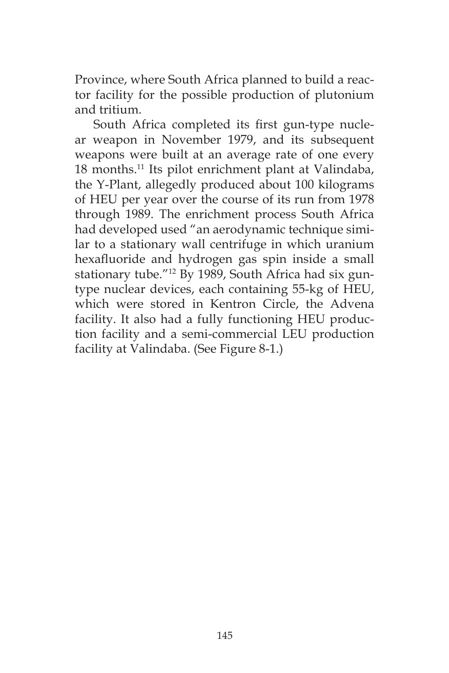Province, where South Africa planned to build a reactor facility for the possible production of plutonium and tritium.

South Africa completed its first gun-type nuclear weapon in November 1979, and its subsequent weapons were built at an average rate of one every 18 months.11 Its pilot enrichment plant at Valindaba, the Y-Plant, allegedly produced about 100 kilograms of HEU per year over the course of its run from 1978 through 1989. The enrichment process South Africa had developed used "an aerodynamic technique similar to a stationary wall centrifuge in which uranium hexafluoride and hydrogen gas spin inside a small stationary tube."12 By 1989, South Africa had six guntype nuclear devices, each containing 55-kg of HEU, which were stored in Kentron Circle, the Advena facility. It also had a fully functioning HEU production facility and a semi-commercial LEU production facility at Valindaba. (See Figure 8-1.)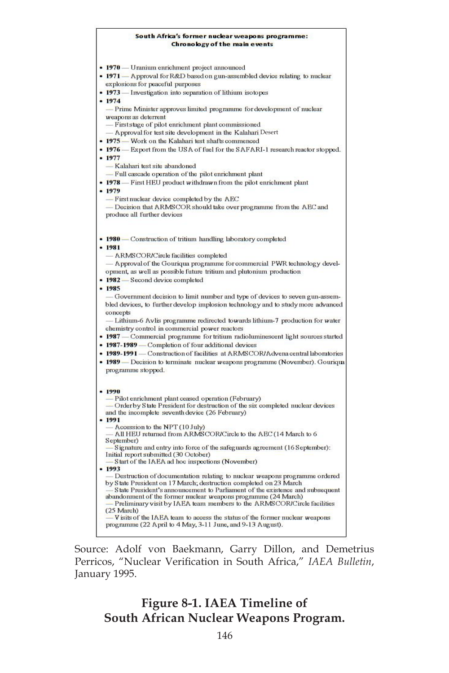#### South Africa's former nuclear weapons programme: **Chronology of the main events**

| • 1970 — Uranium enrichment project announced                                                        |
|------------------------------------------------------------------------------------------------------|
| • 1971 - Approval for R&D based on gun-assembled device relating to nuclear                          |
| explosions for peaceful purposes                                                                     |
| $-1973$<br>— Investigation into separation of lithium isotopes                                       |
| $-1974$                                                                                              |
| - Prime Minister approves limited programme for development of nuclear<br>weapons as deterrent       |
| - First stage of pilot enrichment plant commissioned                                                 |
| - Approval for test site development in the Kalahari Desert                                          |
| • 1975 - Work on the Kalahari test shafts commenced                                                  |
| • 1976 — Export from the USA of fuel for the SAFARI-1 research reactor stopped.                      |
| $-1977$                                                                                              |
| -Kalahari test site abandoned                                                                        |
| - Full cascade operation of the pilot enrichment plant                                               |
| • 1978 - First HEU product withdrawn from the pilot enrichment plant                                 |
| • 1979                                                                                               |
| -First nuclear device completed by the AEC                                                           |
| - Decision that ARMSCOR should take over programme from the AEC and                                  |
| produce all further devices                                                                          |
|                                                                                                      |
|                                                                                                      |
| • 1980 - Construction of tritium handling laboratory completed                                       |
| $-1981$                                                                                              |
| - ARMSCORICircle facilities completed                                                                |
| - Approval of the Gouriqua programme for commercial PWR technology devel-                            |
| opment, as well as possible future tritium and plutonium production                                  |
| • 1982 - Second device completed                                                                     |
| • 1985<br>- Government decision to limit number and type of devices to seven gun-assem-              |
| bled devices, to further develop implosion technology and to study more advanced                     |
| concepts                                                                                             |
| - Lithium-6 Avlis programme redirected towards lithium-7 production for water                        |
| chemistry control in commercial power reactors                                                       |
| • 1987 — Commercial programme for tritium radioluminescent light sources started                     |
| • 1987-1989 - Completion of four additional devices                                                  |
| • 1989-1991 — Construction of facilities at ARMSCOR/Advena central laboratories                      |
| • 1989 — Decision to terminate nuclear weapons programme (November). Gourique                        |
| programme stopped.                                                                                   |
|                                                                                                      |
|                                                                                                      |
| $-1990$<br>- Pilot enrichment plant ceased operation (February)                                      |
| - Order by State President for destruction of the six completed nuclear devices                      |
| and the incomplete seventh device (26 February)                                                      |
| $-1991$                                                                                              |
| - Accession to the NPT (10 July)                                                                     |
| - All HEU returned from ARMSCOR/Circle to the AEC (14 March to 6<br>September)                       |
| Signature and entry into force of the safeguards agreement (16 September):                           |
| Initial report submitted (30 October)                                                                |
| - Start of the IAEA ad hoc inspections (November)                                                    |
| • 1993<br>Destruction of documentation relating to nuclear weapons programme ordered                 |
| by State President on 17 March; destruction completed on 23 March                                    |
| State President's announcement to Parliament of the existence and subsequent                         |
| abandonment of the former nuclear weapons programme (24 March)                                       |
| Preliminary visit by IAEA team members to the ARMSCOR/Circle facilities                              |
| $(25 \text{ March})$<br>V is its of the IAEA team to access the status of the former nuclear weapons |
| programme (22 April to 4 May, 3-11 June, and 9-13 August).                                           |
|                                                                                                      |

Source: Adolf von Baekmann, Garry Dillon, and Demetrius Perricos, "Nuclear Verification in South Africa," *IAEA Bulletin*, January 1995.

# **Figure 8-1. IAEA Timeline of South African Nuclear Weapons Program.**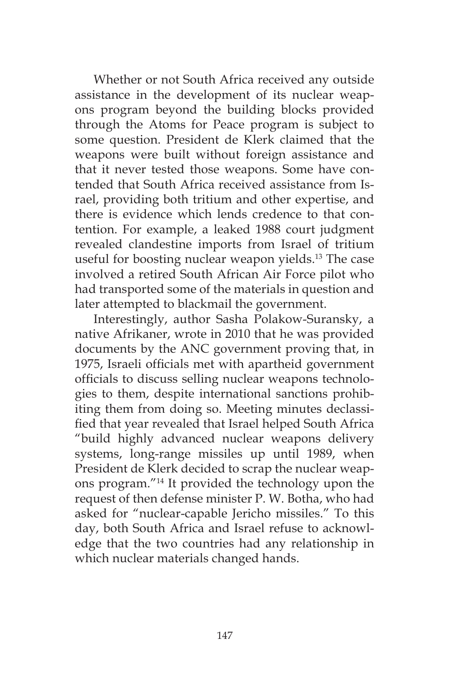Whether or not South Africa received any outside assistance in the development of its nuclear weapons program beyond the building blocks provided through the Atoms for Peace program is subject to some question. President de Klerk claimed that the weapons were built without foreign assistance and that it never tested those weapons. Some have contended that South Africa received assistance from Israel, providing both tritium and other expertise, and there is evidence which lends credence to that contention. For example, a leaked 1988 court judgment revealed clandestine imports from Israel of tritium useful for boosting nuclear weapon yields.<sup>13</sup> The case involved a retired South African Air Force pilot who had transported some of the materials in question and later attempted to blackmail the government.

Interestingly, author Sasha Polakow-Suransky, a native Afrikaner, wrote in 2010 that he was provided documents by the ANC government proving that, in 1975, Israeli officials met with apartheid government officials to discuss selling nuclear weapons technologies to them, despite international sanctions prohibiting them from doing so. Meeting minutes declassified that year revealed that Israel helped South Africa "build highly advanced nuclear weapons delivery systems, long-range missiles up until 1989, when President de Klerk decided to scrap the nuclear weapons program."14 It provided the technology upon the request of then defense minister P. W. Botha, who had asked for "nuclear-capable Jericho missiles." To this day, both South Africa and Israel refuse to acknowledge that the two countries had any relationship in which nuclear materials changed hands.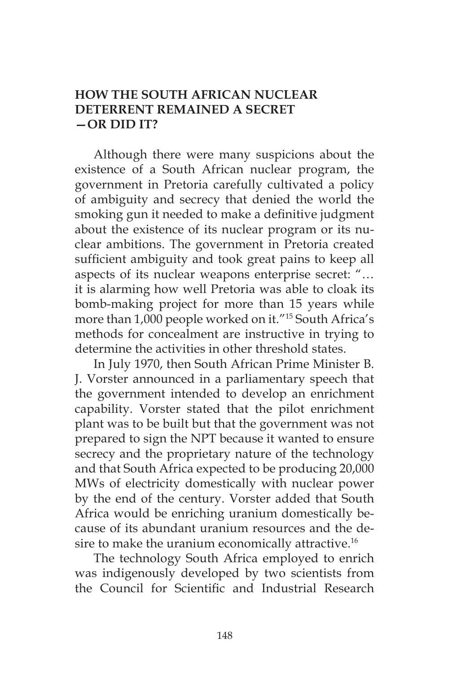#### **HOW THE SOUTH AFRICAN NUCLEAR DETERRENT REMAINED A SECRET —OR DID IT?**

Although there were many suspicions about the existence of a South African nuclear program, the government in Pretoria carefully cultivated a policy of ambiguity and secrecy that denied the world the smoking gun it needed to make a definitive judgment about the existence of its nuclear program or its nuclear ambitions. The government in Pretoria created sufficient ambiguity and took great pains to keep all aspects of its nuclear weapons enterprise secret: "… it is alarming how well Pretoria was able to cloak its bomb-making project for more than 15 years while more than 1,000 people worked on it."15 South Africa's methods for concealment are instructive in trying to determine the activities in other threshold states.

In July 1970, then South African Prime Minister B. J. Vorster announced in a parliamentary speech that the government intended to develop an enrichment capability. Vorster stated that the pilot enrichment plant was to be built but that the government was not prepared to sign the NPT because it wanted to ensure secrecy and the proprietary nature of the technology and that South Africa expected to be producing 20,000 MWs of electricity domestically with nuclear power by the end of the century. Vorster added that South Africa would be enriching uranium domestically because of its abundant uranium resources and the desire to make the uranium economically attractive.<sup>16</sup>

The technology South Africa employed to enrich was indigenously developed by two scientists from the Council for Scientific and Industrial Research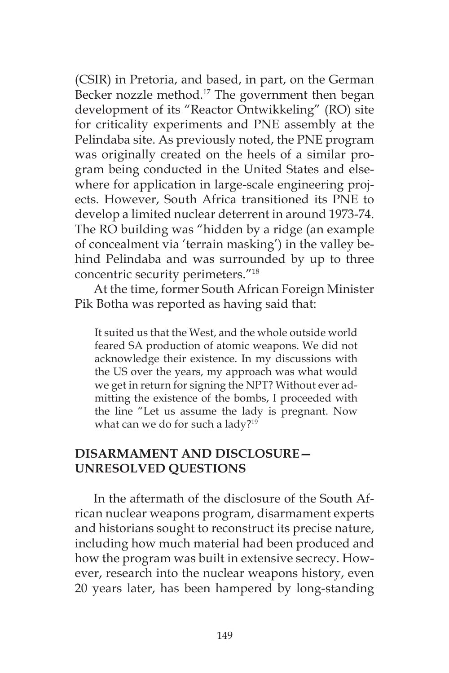(CSIR) in Pretoria, and based, in part, on the German Becker nozzle method.<sup>17</sup> The government then began development of its "Reactor Ontwikkeling" (RO) site for criticality experiments and PNE assembly at the Pelindaba site. As previously noted, the PNE program was originally created on the heels of a similar program being conducted in the United States and elsewhere for application in large-scale engineering projects. However, South Africa transitioned its PNE to develop a limited nuclear deterrent in around 1973-74. The RO building was "hidden by a ridge (an example of concealment via 'terrain masking') in the valley behind Pelindaba and was surrounded by up to three concentric security perimeters."18

At the time, former South African Foreign Minister Pik Botha was reported as having said that:

It suited us that the West, and the whole outside world feared SA production of atomic weapons. We did not acknowledge their existence. In my discussions with the US over the years, my approach was what would we get in return for signing the NPT? Without ever admitting the existence of the bombs, I proceeded with the line "Let us assume the lady is pregnant. Now what can we do for such a lady?<sup>19</sup>

#### **DISARMAMENT AND DISCLOSURE— UNRESOLVED QUESTIONS**

In the aftermath of the disclosure of the South African nuclear weapons program, disarmament experts and historians sought to reconstruct its precise nature, including how much material had been produced and how the program was built in extensive secrecy. However, research into the nuclear weapons history, even 20 years later, has been hampered by long-standing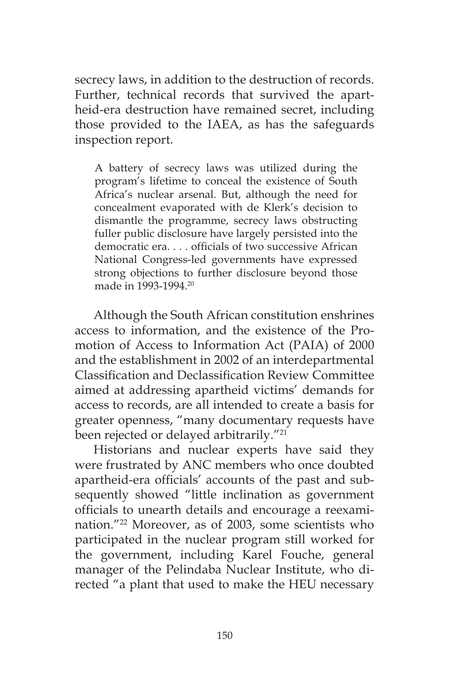secrecy laws, in addition to the destruction of records. Further, technical records that survived the apartheid-era destruction have remained secret, including those provided to the IAEA, as has the safeguards inspection report.

A battery of secrecy laws was utilized during the program's lifetime to conceal the existence of South Africa's nuclear arsenal. But, although the need for concealment evaporated with de Klerk's decision to dismantle the programme, secrecy laws obstructing fuller public disclosure have largely persisted into the democratic era. . . . officials of two successive African National Congress-led governments have expressed strong objections to further disclosure beyond those made in 1993-1994.20

Although the South African constitution enshrines access to information, and the existence of the Promotion of Access to Information Act (PAIA) of 2000 and the establishment in 2002 of an interdepartmental Classification and Declassification Review Committee aimed at addressing apartheid victims' demands for access to records, are all intended to create a basis for greater openness, "many documentary requests have been rejected or delayed arbitrarily."<sup>21</sup>

Historians and nuclear experts have said they were frustrated by ANC members who once doubted apartheid-era officials' accounts of the past and subsequently showed "little inclination as government officials to unearth details and encourage a reexamination."22 Moreover, as of 2003, some scientists who participated in the nuclear program still worked for the government, including Karel Fouche, general manager of the Pelindaba Nuclear Institute, who directed "a plant that used to make the HEU necessary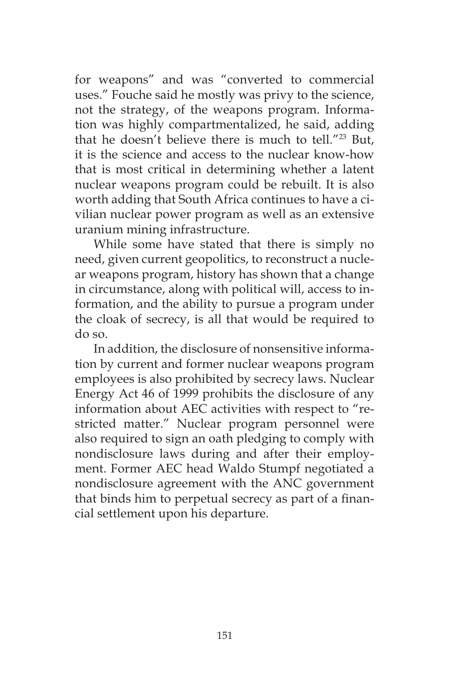for weapons" and was "converted to commercial uses." Fouche said he mostly was privy to the science, not the strategy, of the weapons program. Information was highly compartmentalized, he said, adding that he doesn't believe there is much to tell."23 But, it is the science and access to the nuclear know-how that is most critical in determining whether a latent nuclear weapons program could be rebuilt. It is also worth adding that South Africa continues to have a civilian nuclear power program as well as an extensive uranium mining infrastructure.

While some have stated that there is simply no need, given current geopolitics, to reconstruct a nuclear weapons program, history has shown that a change in circumstance, along with political will, access to information, and the ability to pursue a program under the cloak of secrecy, is all that would be required to do so.

In addition, the disclosure of nonsensitive information by current and former nuclear weapons program employees is also prohibited by secrecy laws. Nuclear Energy Act 46 of 1999 prohibits the disclosure of any information about AEC activities with respect to "restricted matter." Nuclear program personnel were also required to sign an oath pledging to comply with nondisclosure laws during and after their employment. Former AEC head Waldo Stumpf negotiated a nondisclosure agreement with the ANC government that binds him to perpetual secrecy as part of a financial settlement upon his departure.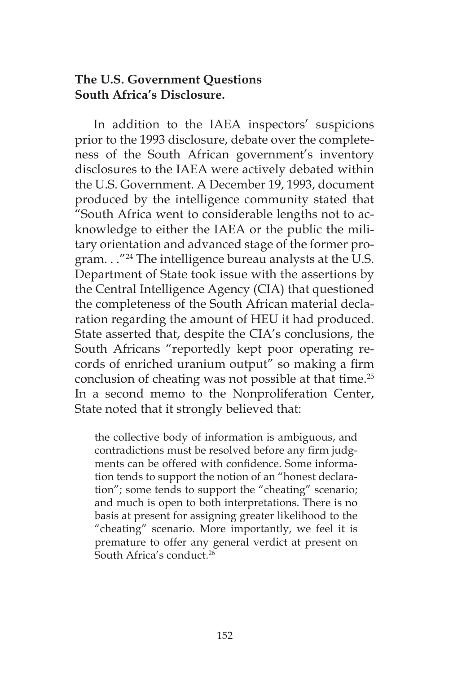## **The U.S. Government Questions South Africa's Disclosure.**

In addition to the IAEA inspectors' suspicions prior to the 1993 disclosure, debate over the completeness of the South African government's inventory disclosures to the IAEA were actively debated within the U.S. Government. A December 19, 1993, document produced by the intelligence community stated that "South Africa went to considerable lengths not to acknowledge to either the IAEA or the public the military orientation and advanced stage of the former program. . ."24 The intelligence bureau analysts at the U.S. Department of State took issue with the assertions by the Central Intelligence Agency (CIA) that questioned the completeness of the South African material declaration regarding the amount of HEU it had produced. State asserted that, despite the CIA's conclusions, the South Africans "reportedly kept poor operating records of enriched uranium output" so making a firm conclusion of cheating was not possible at that time.25 In a second memo to the Nonproliferation Center, State noted that it strongly believed that:

the collective body of information is ambiguous, and contradictions must be resolved before any firm judgments can be offered with confidence. Some information tends to support the notion of an "honest declaration"; some tends to support the "cheating" scenario; and much is open to both interpretations. There is no basis at present for assigning greater likelihood to the "cheating" scenario. More importantly, we feel it is premature to offer any general verdict at present on South Africa's conduct<sup>26</sup>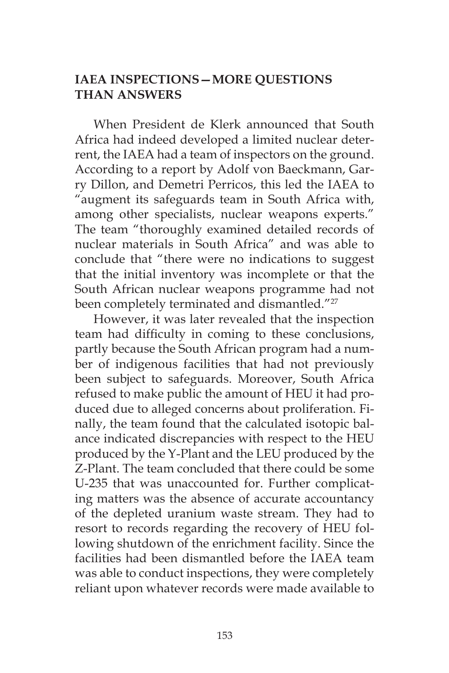## **IAEA INSPECTIONS—MORE QUESTIONS THAN ANSWERS**

When President de Klerk announced that South Africa had indeed developed a limited nuclear deterrent, the IAEA had a team of inspectors on the ground. According to a report by Adolf von Baeckmann, Garry Dillon, and Demetri Perricos, this led the IAEA to "augment its safeguards team in South Africa with, among other specialists, nuclear weapons experts." The team "thoroughly examined detailed records of nuclear materials in South Africa" and was able to conclude that "there were no indications to suggest that the initial inventory was incomplete or that the South African nuclear weapons programme had not been completely terminated and dismantled."<sup>27</sup>

However, it was later revealed that the inspection team had difficulty in coming to these conclusions, partly because the South African program had a number of indigenous facilities that had not previously been subject to safeguards. Moreover, South Africa refused to make public the amount of HEU it had produced due to alleged concerns about proliferation. Finally, the team found that the calculated isotopic balance indicated discrepancies with respect to the HEU produced by the Y-Plant and the LEU produced by the Z-Plant. The team concluded that there could be some U-235 that was unaccounted for. Further complicating matters was the absence of accurate accountancy of the depleted uranium waste stream. They had to resort to records regarding the recovery of HEU following shutdown of the enrichment facility. Since the facilities had been dismantled before the IAEA team was able to conduct inspections, they were completely reliant upon whatever records were made available to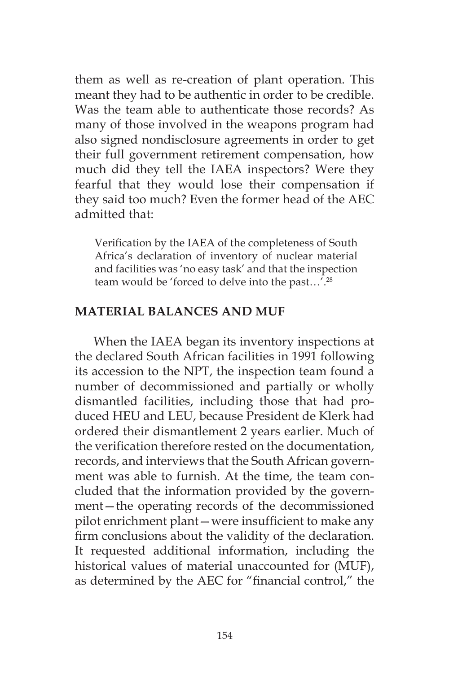them as well as re-creation of plant operation. This meant they had to be authentic in order to be credible. Was the team able to authenticate those records? As many of those involved in the weapons program had also signed nondisclosure agreements in order to get their full government retirement compensation, how much did they tell the IAEA inspectors? Were they fearful that they would lose their compensation if they said too much? Even the former head of the AEC admitted that:

Verification by the IAEA of the completeness of South Africa's declaration of inventory of nuclear material and facilities was 'no easy task' and that the inspection team would be 'forced to delve into the past…'.28

#### **MATERIAL BALANCES AND MUF**

When the IAEA began its inventory inspections at the declared South African facilities in 1991 following its accession to the NPT, the inspection team found a number of decommissioned and partially or wholly dismantled facilities, including those that had produced HEU and LEU, because President de Klerk had ordered their dismantlement 2 years earlier. Much of the verification therefore rested on the documentation, records, and interviews that the South African government was able to furnish. At the time, the team concluded that the information provided by the government—the operating records of the decommissioned pilot enrichment plant—were insufficient to make any firm conclusions about the validity of the declaration. It requested additional information, including the historical values of material unaccounted for (MUF), as determined by the AEC for "financial control," the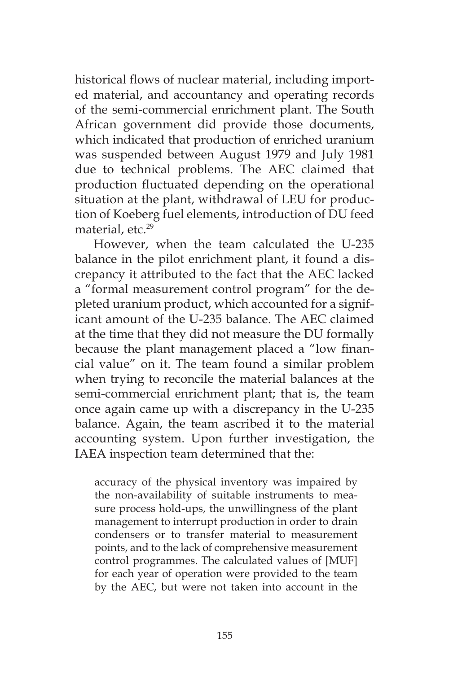historical flows of nuclear material, including imported material, and accountancy and operating records of the semi-commercial enrichment plant. The South African government did provide those documents, which indicated that production of enriched uranium was suspended between August 1979 and July 1981 due to technical problems. The AEC claimed that production fluctuated depending on the operational situation at the plant, withdrawal of LEU for production of Koeberg fuel elements, introduction of DU feed material, etc.<sup>29</sup>

However, when the team calculated the U-235 balance in the pilot enrichment plant, it found a discrepancy it attributed to the fact that the AEC lacked a "formal measurement control program" for the depleted uranium product, which accounted for a significant amount of the U-235 balance. The AEC claimed at the time that they did not measure the DU formally because the plant management placed a "low financial value" on it. The team found a similar problem when trying to reconcile the material balances at the semi-commercial enrichment plant; that is, the team once again came up with a discrepancy in the U-235 balance. Again, the team ascribed it to the material accounting system. Upon further investigation, the IAEA inspection team determined that the:

accuracy of the physical inventory was impaired by the non-availability of suitable instruments to measure process hold-ups, the unwillingness of the plant management to interrupt production in order to drain condensers or to transfer material to measurement points, and to the lack of comprehensive measurement control programmes. The calculated values of [MUF] for each year of operation were provided to the team by the AEC, but were not taken into account in the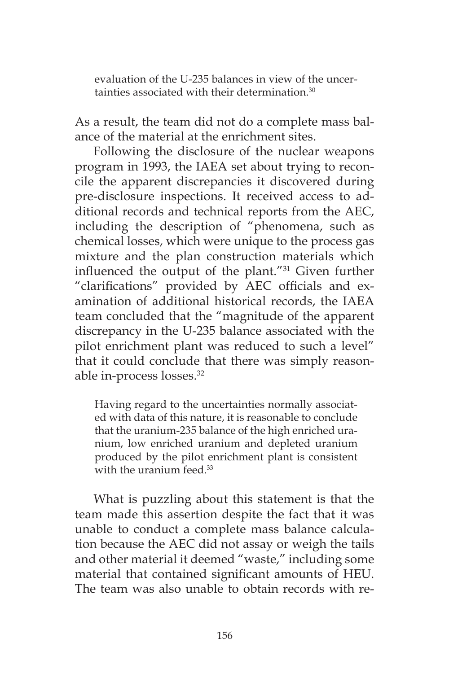evaluation of the U-235 balances in view of the uncertainties associated with their determination.<sup>30</sup>

As a result, the team did not do a complete mass balance of the material at the enrichment sites.

Following the disclosure of the nuclear weapons program in 1993, the IAEA set about trying to reconcile the apparent discrepancies it discovered during pre-disclosure inspections. It received access to additional records and technical reports from the AEC, including the description of "phenomena, such as chemical losses, which were unique to the process gas mixture and the plan construction materials which influenced the output of the plant."31 Given further "clarifications" provided by AEC officials and examination of additional historical records, the IAEA team concluded that the "magnitude of the apparent discrepancy in the U-235 balance associated with the pilot enrichment plant was reduced to such a level" that it could conclude that there was simply reasonable in-process losses.32

Having regard to the uncertainties normally associated with data of this nature, it is reasonable to conclude that the uranium-235 balance of the high enriched uranium, low enriched uranium and depleted uranium produced by the pilot enrichment plant is consistent with the uranium feed.<sup>33</sup>

What is puzzling about this statement is that the team made this assertion despite the fact that it was unable to conduct a complete mass balance calculation because the AEC did not assay or weigh the tails and other material it deemed "waste," including some material that contained significant amounts of HEU. The team was also unable to obtain records with re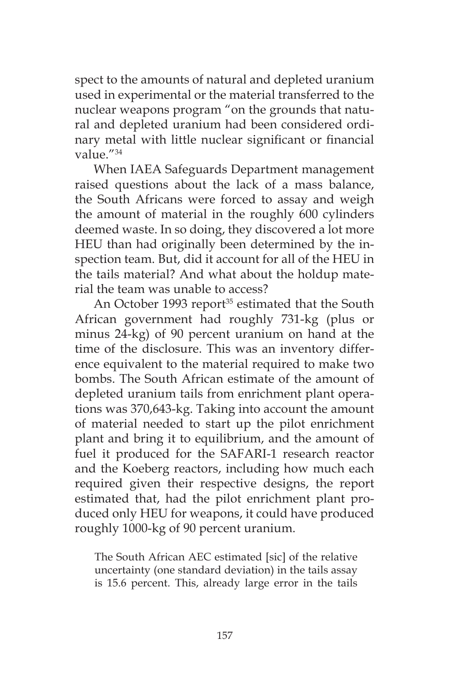spect to the amounts of natural and depleted uranium used in experimental or the material transferred to the nuclear weapons program "on the grounds that natural and depleted uranium had been considered ordinary metal with little nuclear significant or financial value."34

When IAEA Safeguards Department management raised questions about the lack of a mass balance, the South Africans were forced to assay and weigh the amount of material in the roughly 600 cylinders deemed waste. In so doing, they discovered a lot more HEU than had originally been determined by the inspection team. But, did it account for all of the HEU in the tails material? And what about the holdup material the team was unable to access?

An October 1993 report<sup>35</sup> estimated that the South African government had roughly 731-kg (plus or minus 24-kg) of 90 percent uranium on hand at the time of the disclosure. This was an inventory difference equivalent to the material required to make two bombs. The South African estimate of the amount of depleted uranium tails from enrichment plant operations was 370,643-kg. Taking into account the amount of material needed to start up the pilot enrichment plant and bring it to equilibrium, and the amount of fuel it produced for the SAFARI-1 research reactor and the Koeberg reactors, including how much each required given their respective designs, the report estimated that, had the pilot enrichment plant produced only HEU for weapons, it could have produced roughly 1000-kg of 90 percent uranium.

The South African AEC estimated [sic] of the relative uncertainty (one standard deviation) in the tails assay is 15.6 percent. This, already large error in the tails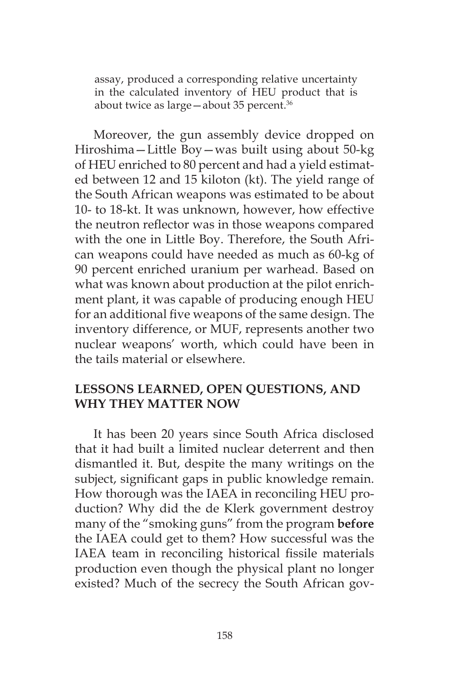assay, produced a corresponding relative uncertainty in the calculated inventory of HEU product that is about twice as large-about 35 percent.<sup>36</sup>

Moreover, the gun assembly device dropped on Hiroshima—Little Boy—was built using about 50-kg of HEU enriched to 80 percent and had a yield estimated between 12 and 15 kiloton (kt). The yield range of the South African weapons was estimated to be about 10- to 18-kt. It was unknown, however, how effective the neutron reflector was in those weapons compared with the one in Little Boy. Therefore, the South African weapons could have needed as much as 60-kg of 90 percent enriched uranium per warhead. Based on what was known about production at the pilot enrichment plant, it was capable of producing enough HEU for an additional five weapons of the same design. The inventory difference, or MUF, represents another two nuclear weapons' worth, which could have been in the tails material or elsewhere.

## **LESSONS LEARNED, OPEN QUESTIONS, AND WHY THEY MATTER NOW**

It has been 20 years since South Africa disclosed that it had built a limited nuclear deterrent and then dismantled it. But, despite the many writings on the subject, significant gaps in public knowledge remain. How thorough was the IAEA in reconciling HEU production? Why did the de Klerk government destroy many of the "smoking guns" from the program **before** the IAEA could get to them? How successful was the IAEA team in reconciling historical fissile materials production even though the physical plant no longer existed? Much of the secrecy the South African gov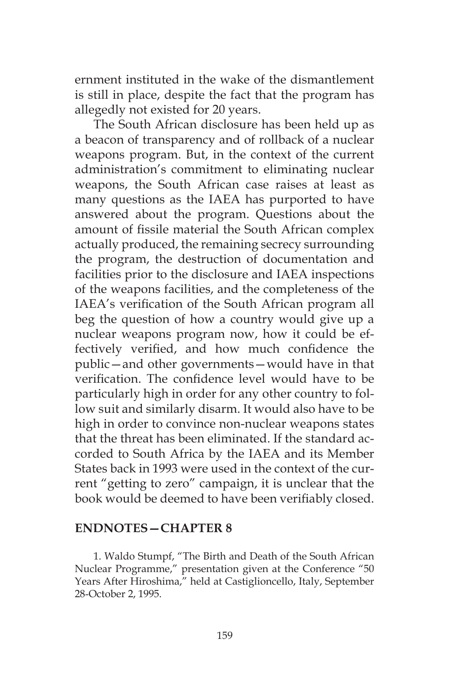ernment instituted in the wake of the dismantlement is still in place, despite the fact that the program has allegedly not existed for 20 years.

The South African disclosure has been held up as a beacon of transparency and of rollback of a nuclear weapons program. But, in the context of the current administration's commitment to eliminating nuclear weapons, the South African case raises at least as many questions as the IAEA has purported to have answered about the program. Questions about the amount of fissile material the South African complex actually produced, the remaining secrecy surrounding the program, the destruction of documentation and facilities prior to the disclosure and IAEA inspections of the weapons facilities, and the completeness of the IAEA's verification of the South African program all beg the question of how a country would give up a nuclear weapons program now, how it could be effectively verified, and how much confidence the public—and other governments—would have in that verification. The confidence level would have to be particularly high in order for any other country to follow suit and similarly disarm. It would also have to be high in order to convince non-nuclear weapons states that the threat has been eliminated. If the standard accorded to South Africa by the IAEA and its Member States back in 1993 were used in the context of the current "getting to zero" campaign, it is unclear that the book would be deemed to have been verifiably closed.

#### **ENDNOTES—CHAPTER 8**

1. Waldo Stumpf, "The Birth and Death of the South African Nuclear Programme," presentation given at the Conference "50 Years After Hiroshima," held at Castiglioncello, Italy, September 28-October 2, 1995.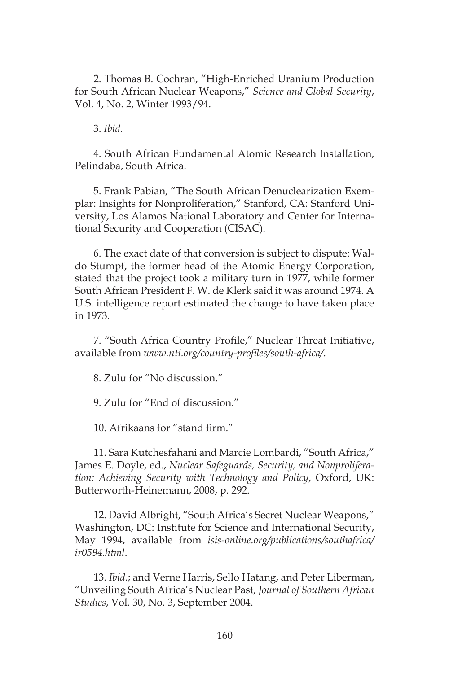2. Thomas B. Cochran, "High-Enriched Uranium Production for South African Nuclear Weapons," *Science and Global Security*, Vol. 4, No. 2, Winter 1993/94.

3. *Ibid*.

4. South African Fundamental Atomic Research Installation, Pelindaba, South Africa.

5. Frank Pabian, "The South African Denuclearization Exemplar: Insights for Nonproliferation," Stanford, CA: Stanford University, Los Alamos National Laboratory and Center for International Security and Cooperation (CISAC).

6. The exact date of that conversion is subject to dispute: Waldo Stumpf, the former head of the Atomic Energy Corporation, stated that the project took a military turn in 1977, while former South African President F. W. de Klerk said it was around 1974. A U.S. intelligence report estimated the change to have taken place in 1973.

7. "South Africa Country Profile," Nuclear Threat Initiative, available from *www.nti.org/country-profiles/south-africa/*.

8. Zulu for "No discussion."

9. Zulu for "End of discussion."

10. Afrikaans for "stand firm."

11. Sara Kutchesfahani and Marcie Lombardi, "South Africa," James E. Doyle, ed., *Nuclear Safeguards, Security, and Nonproliferation: Achieving Security with Technology and Policy*, Oxford, UK: Butterworth-Heinemann, 2008, p. 292.

12. David Albright, "South Africa's Secret Nuclear Weapons," Washington, DC: Institute for Science and International Security, May 1994, available from *isis-online.org/publications/southafrica/ ir0594.html*.

13. *Ibid*.; and Verne Harris, Sello Hatang, and Peter Liberman, "Unveiling South Africa's Nuclear Past, *Journal of Southern African Studies*, Vol. 30, No. 3, September 2004.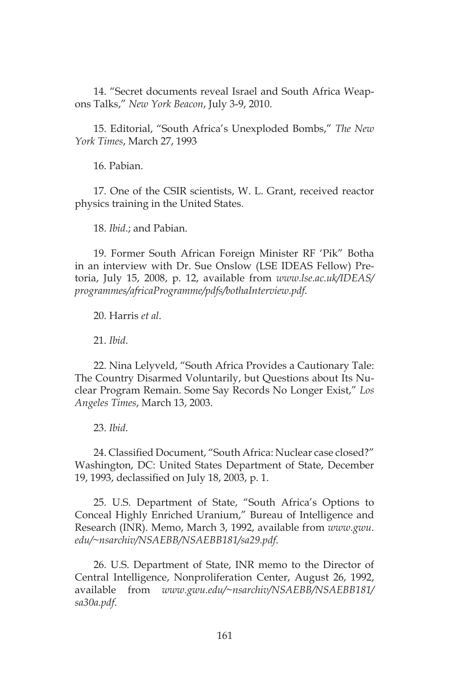14. "Secret documents reveal Israel and South Africa Weapons Talks," *New York Beacon*, July 3-9, 2010.

15. Editorial, "South Africa's Unexploded Bombs," *The New York Times*, March 27, 1993

16. Pabian.

17. One of the CSIR scientists, W. L. Grant, received reactor physics training in the United States.

18. *Ibid*.; and Pabian.

19. Former South African Foreign Minister RF 'Pik" Botha in an interview with Dr. Sue Onslow (LSE IDEAS Fellow) Pretoria, July 15, 2008, p. 12, available from *www.lse.ac.uk/IDEAS/ programmes/africaProgramme/pdfs/bothaInterview.pdf.*

20. Harris *et al*.

21. *Ibid*.

22. Nina Lelyveld, "South Africa Provides a Cautionary Tale: The Country Disarmed Voluntarily, but Questions about Its Nuclear Program Remain. Some Say Records No Longer Exist," *Los Angeles Times*, March 13, 2003.

23. *Ibid*.

24. Classified Document, "South Africa: Nuclear case closed?" Washington, DC: United States Department of State, December 19, 1993, declassified on July 18, 2003, p. 1.

25. U.S. Department of State, "South Africa's Options to Conceal Highly Enriched Uranium," Bureau of Intelligence and Research (INR). Memo, March 3, 1992, available from *www.gwu. edu/~nsarchiv/NSAEBB/NSAEBB181/sa29.pdf*.

26. U.S. Department of State, INR memo to the Director of Central Intelligence, Nonproliferation Center, August 26, 1992, available from *www.gwu.edu/~nsarchiv/NSAEBB/NSAEBB181/ sa30a.pdf*.